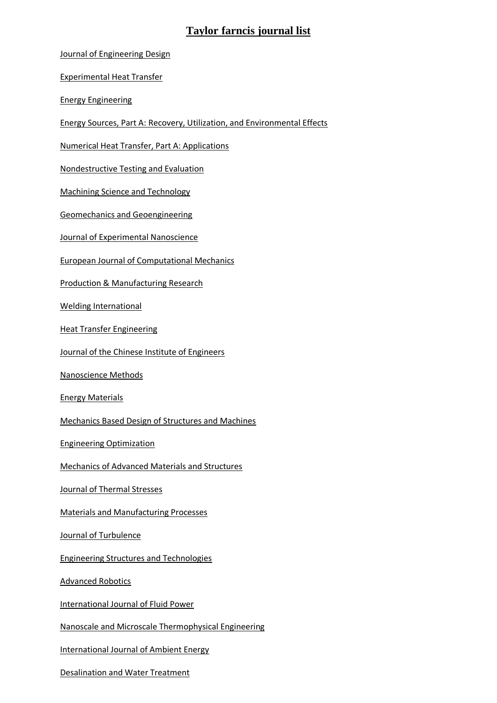## **Taylor farncis journal list**

[Journal of Engineering Design](http://www.tandfonline.com/toc/cjen20/current)

[Experimental Heat Transfer](http://www.tandfonline.com/toc/ueht20/current)

[Energy Engineering](http://www.tandfonline.com/toc/uene20/current)

[Energy Sources, Part A: Recovery, Utilization, and Environmental Effects](http://www.tandfonline.com/toc/ueso20/current)

[Numerical Heat Transfer, Part A: Applications](http://www.tandfonline.com/toc/unht20/current)

[Nondestructive Testing and Evaluation](http://www.tandfonline.com/toc/gnte20/current)

[Machining Science and Technology](http://www.tandfonline.com/toc/lmst20/current)

[Geomechanics and Geoengineering](http://www.tandfonline.com/toc/tgeo20/current)

[Journal of Experimental Nanoscience](http://www.tandfonline.com/toc/tjen20/current)

[European Journal of Computational Mechanics](http://www.tandfonline.com/toc/tecm20/current)

[Production & Manufacturing Research](http://www.tandfonline.com/toc/tpmr20/current)

[Welding International](http://www.tandfonline.com/toc/twld20/current)

[Heat Transfer Engineering](http://www.tandfonline.com/toc/uhte20/current)

[Journal of the Chinese Institute of Engineers](http://www.tandfonline.com/toc/tcie20/current)

[Nanoscience Methods](http://www.tandfonline.com/loi/tnme20)

[Energy Materials](http://www.tandfonline.com/toc/yema20/current)

[Mechanics Based Design of Structures and Machines](http://www.tandfonline.com/toc/lmbd20/current)

[Engineering Optimization](http://www.tandfonline.com/toc/geno20/current)

[Mechanics of Advanced Materials and Structures](http://www.tandfonline.com/toc/umcm20/current)

[Journal of Thermal Stresses](http://www.tandfonline.com/toc/uths20/current)

[Materials and Manufacturing Processes](http://www.tandfonline.com/toc/lmmp20/current)

[Journal of Turbulence](http://www.tandfonline.com/toc/tjot20/current)

[Engineering Structures and Technologies](http://www.tandfonline.com/toc/tesn20/current)

[Advanced Robotics](http://www.tandfonline.com/toc/tadr20/current)

[International Journal of Fluid Power](http://www.tandfonline.com/toc/tjfp20/current)

[Nanoscale and Microscale Thermophysical Engineering](http://www.tandfonline.com/toc/umte20/current)

[International Journal of Ambient Energy](http://www.tandfonline.com/toc/taen20/current)

[Desalination and Water Treatment](http://www.tandfonline.com/toc/tdwt20/current)